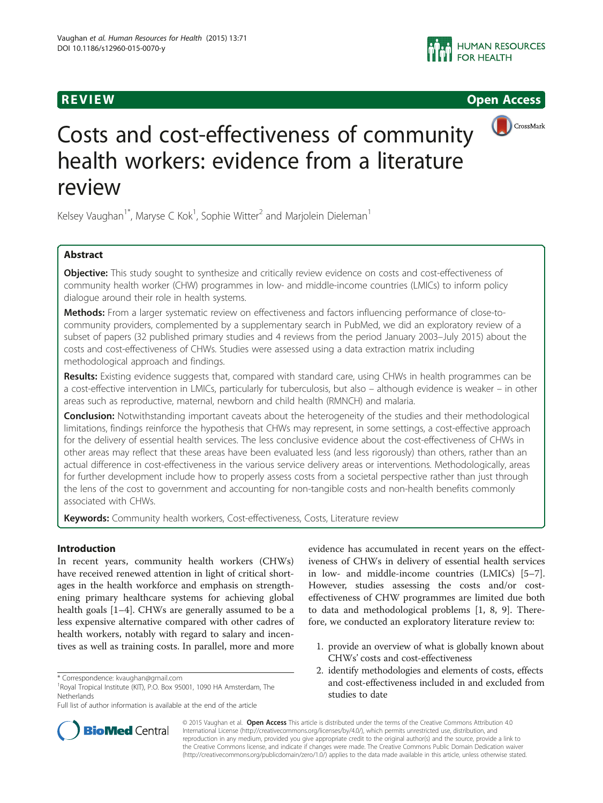



# Costs and cost-effectiveness of community health workers: evidence from a literature review

Kelsey Vaughan<sup>1\*</sup>, Maryse C Kok<sup>1</sup>, Sophie Witter<sup>2</sup> and Marjolein Dieleman<sup>1</sup>

# Abstract

Objective: This study sought to synthesize and critically review evidence on costs and cost-effectiveness of community health worker (CHW) programmes in low- and middle-income countries (LMICs) to inform policy dialogue around their role in health systems.

Methods: From a larger systematic review on effectiveness and factors influencing performance of close-tocommunity providers, complemented by a supplementary search in PubMed, we did an exploratory review of a subset of papers (32 published primary studies and 4 reviews from the period January 2003–July 2015) about the costs and cost-effectiveness of CHWs. Studies were assessed using a data extraction matrix including methodological approach and findings.

Results: Existing evidence suggests that, compared with standard care, using CHWs in health programmes can be a cost-effective intervention in LMICs, particularly for tuberculosis, but also – although evidence is weaker – in other areas such as reproductive, maternal, newborn and child health (RMNCH) and malaria.

**Conclusion:** Notwithstanding important caveats about the heterogeneity of the studies and their methodological limitations, findings reinforce the hypothesis that CHWs may represent, in some settings, a cost-effective approach for the delivery of essential health services. The less conclusive evidence about the cost-effectiveness of CHWs in other areas may reflect that these areas have been evaluated less (and less rigorously) than others, rather than an actual difference in cost-effectiveness in the various service delivery areas or interventions. Methodologically, areas for further development include how to properly assess costs from a societal perspective rather than just through the lens of the cost to government and accounting for non-tangible costs and non-health benefits commonly associated with CHWs.

Keywords: Community health workers, Cost-effectiveness, Costs, Literature review

# Introduction

In recent years, community health workers (CHWs) have received renewed attention in light of critical shortages in the health workforce and emphasis on strengthening primary healthcare systems for achieving global health goals [\[1](#page-14-0)–[4\]](#page-14-0). CHWs are generally assumed to be a less expensive alternative compared with other cadres of health workers, notably with regard to salary and incentives as well as training costs. In parallel, more and more

evidence has accumulated in recent years on the effectiveness of CHWs in delivery of essential health services in low- and middle-income countries (LMICs) [\[5](#page-14-0)–[7](#page-14-0)]. However, studies assessing the costs and/or costeffectiveness of CHW programmes are limited due both to data and methodological problems [\[1](#page-14-0), [8](#page-14-0), [9\]](#page-14-0). Therefore, we conducted an exploratory literature review to:

- 1. provide an overview of what is globally known about CHWs' costs and cost-effectiveness
- 2. identify methodologies and elements of costs, effects and cost-effectiveness included in and excluded from studies to date



© 2015 Vaughan et al. Open Access This article is distributed under the terms of the Creative Commons Attribution 4.0 International License [\(http://creativecommons.org/licenses/by/4.0/](http://creativecommons.org/licenses/by/4.0/)), which permits unrestricted use, distribution, and reproduction in any medium, provided you give appropriate credit to the original author(s) and the source, provide a link to the Creative Commons license, and indicate if changes were made. The Creative Commons Public Domain Dedication waiver [\(http://creativecommons.org/publicdomain/zero/1.0/](http://creativecommons.org/publicdomain/zero/1.0/)) applies to the data made available in this article, unless otherwise stated.

<sup>\*</sup> Correspondence: [kvaughan@gmail.com](mailto:kvaughan@gmail.com) <sup>1</sup>

<sup>&</sup>lt;sup>1</sup>Royal Tropical Institute (KIT), P.O. Box 95001, 1090 HA Amsterdam, The Netherlands

Full list of author information is available at the end of the article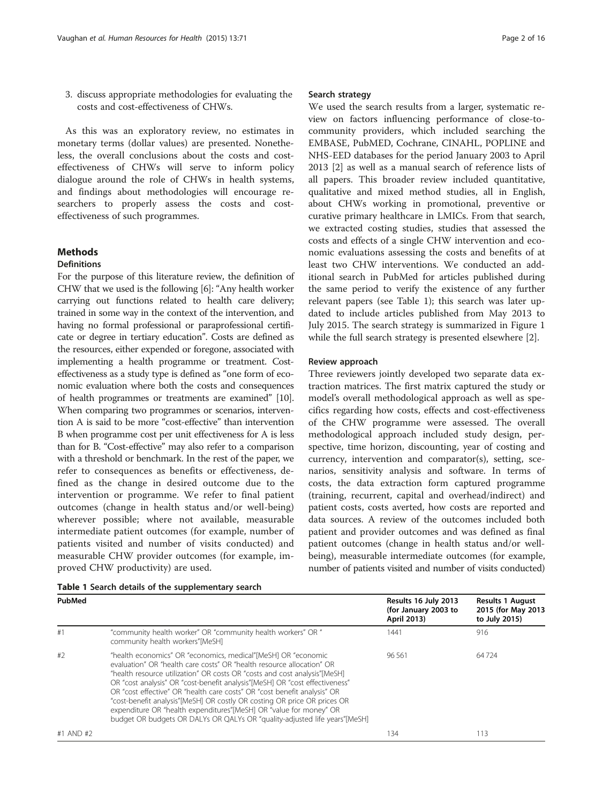3. discuss appropriate methodologies for evaluating the costs and cost-effectiveness of CHWs.

As this was an exploratory review, no estimates in monetary terms (dollar values) are presented. Nonetheless, the overall conclusions about the costs and costeffectiveness of CHWs will serve to inform policy dialogue around the role of CHWs in health systems, and findings about methodologies will encourage researchers to properly assess the costs and costeffectiveness of such programmes.

# **Methods**

### Definitions

For the purpose of this literature review, the definition of CHW that we used is the following [\[6\]](#page-14-0): "Any health worker carrying out functions related to health care delivery; trained in some way in the context of the intervention, and having no formal professional or paraprofessional certificate or degree in tertiary education". Costs are defined as the resources, either expended or foregone, associated with implementing a health programme or treatment. Costeffectiveness as a study type is defined as "one form of economic evaluation where both the costs and consequences of health programmes or treatments are examined" [\[10](#page-14-0)]. When comparing two programmes or scenarios, intervention A is said to be more "cost-effective" than intervention B when programme cost per unit effectiveness for A is less than for B. "Cost-effective" may also refer to a comparison with a threshold or benchmark. In the rest of the paper, we refer to consequences as benefits or effectiveness, defined as the change in desired outcome due to the intervention or programme. We refer to final patient outcomes (change in health status and/or well-being) wherever possible; where not available, measurable intermediate patient outcomes (for example, number of patients visited and number of visits conducted) and measurable CHW provider outcomes (for example, improved CHW productivity) are used.

#### Search strategy

We used the search results from a larger, systematic review on factors influencing performance of close-tocommunity providers, which included searching the EMBASE, PubMED, Cochrane, CINAHL, POPLINE and NHS-EED databases for the period January 2003 to April 2013 [\[2](#page-14-0)] as well as a manual search of reference lists of all papers. This broader review included quantitative, qualitative and mixed method studies, all in English, about CHWs working in promotional, preventive or curative primary healthcare in LMICs. From that search, we extracted costing studies, studies that assessed the costs and effects of a single CHW intervention and economic evaluations assessing the costs and benefits of at least two CHW interventions. We conducted an additional search in PubMed for articles published during the same period to verify the existence of any further relevant papers (see Table 1); this search was later updated to include articles published from May 2013 to July 2015. The search strategy is summarized in Figure [1](#page-2-0) while the full search strategy is presented elsewhere [[2\]](#page-14-0).

#### Review approach

Three reviewers jointly developed two separate data extraction matrices. The first matrix captured the study or model's overall methodological approach as well as specifics regarding how costs, effects and cost-effectiveness of the CHW programme were assessed. The overall methodological approach included study design, perspective, time horizon, discounting, year of costing and currency, intervention and comparator(s), setting, scenarios, sensitivity analysis and software. In terms of costs, the data extraction form captured programme (training, recurrent, capital and overhead/indirect) and patient costs, costs averted, how costs are reported and data sources. A review of the outcomes included both patient and provider outcomes and was defined as final patient outcomes (change in health status and/or wellbeing), measurable intermediate outcomes (for example, number of patients visited and number of visits conducted)

| Table 1 Search details of the supplementary search |  |
|----------------------------------------------------|--|
|----------------------------------------------------|--|

| PubMed    |                                                                                                                                                                                                                                                                                                                                                                                                                                                                                                                                                                                                                | Results 16 July 2013<br>(for January 2003 to<br>April 2013) | <b>Results 1 August</b><br>2015 (for May 2013<br>to July 2015) |
|-----------|----------------------------------------------------------------------------------------------------------------------------------------------------------------------------------------------------------------------------------------------------------------------------------------------------------------------------------------------------------------------------------------------------------------------------------------------------------------------------------------------------------------------------------------------------------------------------------------------------------------|-------------------------------------------------------------|----------------------------------------------------------------|
| #1        | "community health worker" OR "community health workers" OR "<br>community health workers"[MeSH]                                                                                                                                                                                                                                                                                                                                                                                                                                                                                                                | 1441                                                        | 916                                                            |
| #2        | "health economics" OR "economics, medical"[MeSH] OR "economic<br>evaluation" OR "health care costs" OR "health resource allocation" OR<br>"health resource utilization" OR costs OR "costs and cost analysis"[MeSH]<br>OR "cost analysis" OR "cost-benefit analysis"[MeSH] OR "cost effectiveness"<br>OR "cost effective" OR "health care costs" OR "cost benefit analysis" OR<br>"cost-benefit analysis"[MeSH] OR costly OR costing OR price OR prices OR<br>expenditure OR "health expenditures"[MeSH] OR "value for money" OR<br>budget OR budgets OR DALYs OR QALYs OR "quality-adjusted life years"[MeSH] | 96.561                                                      | 64724                                                          |
| #1 AND #2 |                                                                                                                                                                                                                                                                                                                                                                                                                                                                                                                                                                                                                | 134                                                         | 113                                                            |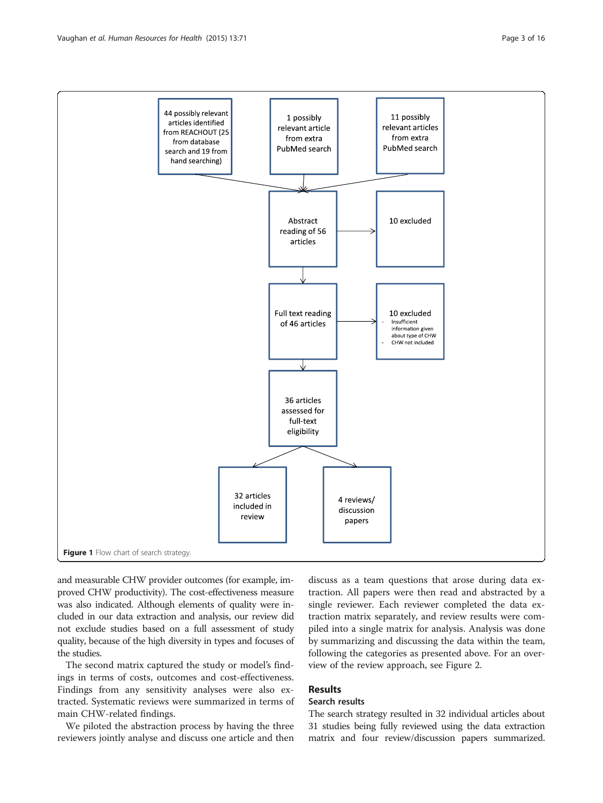<span id="page-2-0"></span>

and measurable CHW provider outcomes (for example, improved CHW productivity). The cost-effectiveness measure was also indicated. Although elements of quality were included in our data extraction and analysis, our review did not exclude studies based on a full assessment of study quality, because of the high diversity in types and focuses of the studies.

The second matrix captured the study or model's findings in terms of costs, outcomes and cost-effectiveness. Findings from any sensitivity analyses were also extracted. Systematic reviews were summarized in terms of main CHW-related findings.

We piloted the abstraction process by having the three reviewers jointly analyse and discuss one article and then

discuss as a team questions that arose during data extraction. All papers were then read and abstracted by a single reviewer. Each reviewer completed the data extraction matrix separately, and review results were compiled into a single matrix for analysis. Analysis was done by summarizing and discussing the data within the team, following the categories as presented above. For an overview of the review approach, see Figure [2](#page-3-0).

# Results

# Search results

The search strategy resulted in 32 individual articles about 31 studies being fully reviewed using the data extraction matrix and four review/discussion papers summarized.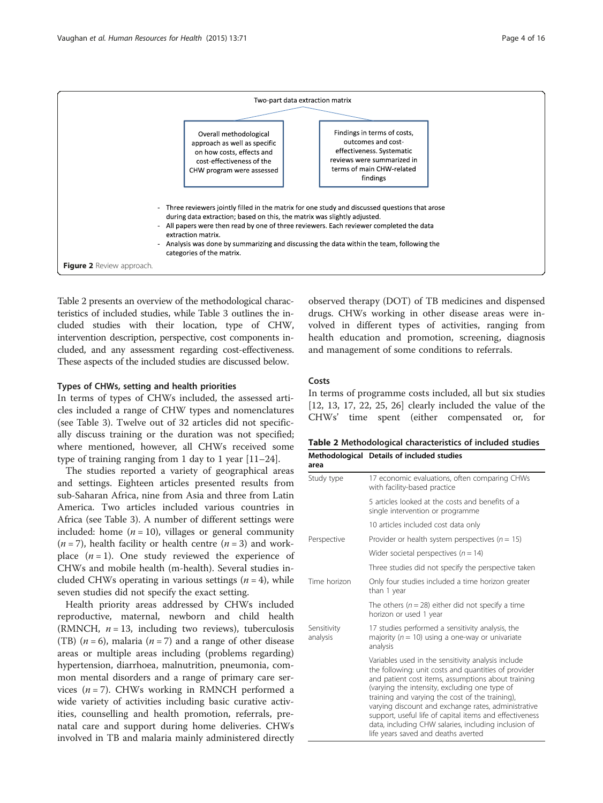<span id="page-3-0"></span>

Table 2 presents an overview of the methodological characteristics of included studies, while Table [3](#page-4-0) outlines the included studies with their location, type of CHW, intervention description, perspective, cost components included, and any assessment regarding cost-effectiveness. These aspects of the included studies are discussed below.

# Types of CHWs, setting and health priorities

In terms of types of CHWs included, the assessed articles included a range of CHW types and nomenclatures (see Table [3](#page-4-0)). Twelve out of 32 articles did not specifically discuss training or the duration was not specified; where mentioned, however, all CHWs received some type of training ranging from 1 day to 1 year [\[11](#page-14-0)–[24\]](#page-14-0).

The studies reported a variety of geographical areas and settings. Eighteen articles presented results from sub-Saharan Africa, nine from Asia and three from Latin America. Two articles included various countries in Africa (see Table [3\)](#page-4-0). A number of different settings were included: home  $(n = 10)$ , villages or general community  $(n = 7)$ , health facility or health centre  $(n = 3)$  and workplace  $(n = 1)$ . One study reviewed the experience of CHWs and mobile health (m-health). Several studies included CHWs operating in various settings  $(n = 4)$ , while seven studies did not specify the exact setting.

Health priority areas addressed by CHWs included reproductive, maternal, newborn and child health (RMNCH,  $n = 13$ , including two reviews), tuberculosis (TB)  $(n = 6)$ , malaria  $(n = 7)$  and a range of other disease areas or multiple areas including (problems regarding) hypertension, diarrhoea, malnutrition, pneumonia, common mental disorders and a range of primary care services ( $n = 7$ ). CHWs working in RMNCH performed a wide variety of activities including basic curative activities, counselling and health promotion, referrals, prenatal care and support during home deliveries. CHWs involved in TB and malaria mainly administered directly

observed therapy (DOT) of TB medicines and dispensed drugs. CHWs working in other disease areas were involved in different types of activities, ranging from health education and promotion, screening, diagnosis and management of some conditions to referrals.

#### Costs

In terms of programme costs included, all but six studies [[12, 13](#page-14-0), [17](#page-14-0), [22, 25, 26](#page-14-0)] clearly included the value of the CHWs' time spent (either compensated or, for

| Table 2 Methodological characteristics of included studies |
|------------------------------------------------------------|
| Methodological Details of included studies                 |

| area                    |                                                                                                                                                                                                                                                                                                                                                                                                                                                                                       |  |  |  |  |  |
|-------------------------|---------------------------------------------------------------------------------------------------------------------------------------------------------------------------------------------------------------------------------------------------------------------------------------------------------------------------------------------------------------------------------------------------------------------------------------------------------------------------------------|--|--|--|--|--|
| Study type              | 17 economic evaluations, often comparing CHWs<br>with facility-based practice                                                                                                                                                                                                                                                                                                                                                                                                         |  |  |  |  |  |
|                         | 5 articles looked at the costs and benefits of a<br>single intervention or programme                                                                                                                                                                                                                                                                                                                                                                                                  |  |  |  |  |  |
|                         | 10 articles included cost data only                                                                                                                                                                                                                                                                                                                                                                                                                                                   |  |  |  |  |  |
| Perspective             | Provider or health system perspectives ( $n = 15$ )                                                                                                                                                                                                                                                                                                                                                                                                                                   |  |  |  |  |  |
|                         | Wider societal perspectives ( $n = 14$ )                                                                                                                                                                                                                                                                                                                                                                                                                                              |  |  |  |  |  |
|                         | Three studies did not specify the perspective taken                                                                                                                                                                                                                                                                                                                                                                                                                                   |  |  |  |  |  |
| Time horizon            | Only four studies included a time horizon greater<br>than 1 year                                                                                                                                                                                                                                                                                                                                                                                                                      |  |  |  |  |  |
|                         | The others ( $n = 28$ ) either did not specify a time<br>horizon or used 1 year                                                                                                                                                                                                                                                                                                                                                                                                       |  |  |  |  |  |
| Sensitivity<br>analysis | 17 studies performed a sensitivity analysis, the<br>majority ( $n = 10$ ) using a one-way or univariate<br>analysis                                                                                                                                                                                                                                                                                                                                                                   |  |  |  |  |  |
|                         | Variables used in the sensitivity analysis include<br>the following: unit costs and quantities of provider<br>and patient cost items, assumptions about training<br>(varying the intensity, excluding one type of<br>training and varying the cost of the training),<br>varying discount and exchange rates, administrative<br>support, useful life of capital items and effectiveness<br>data, including CHW salaries, including inclusion of<br>life years saved and deaths averted |  |  |  |  |  |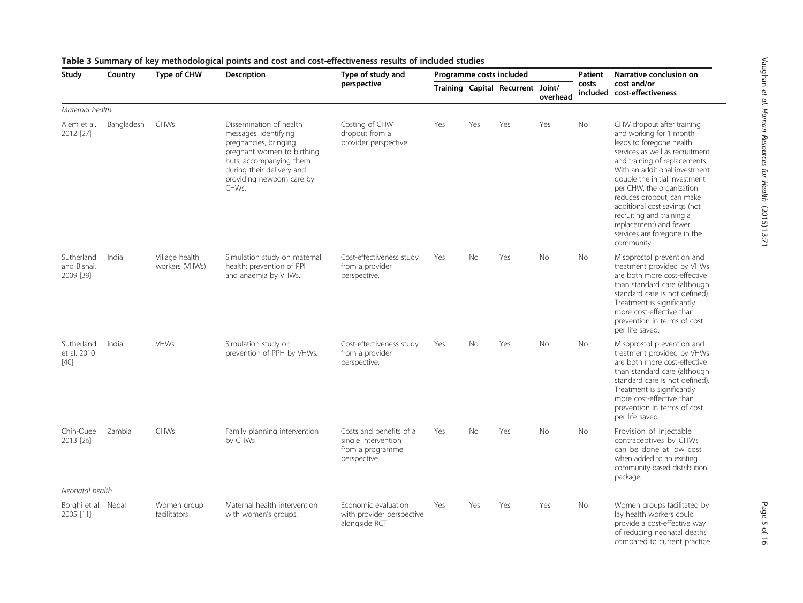<span id="page-4-0"></span>

| Study                                     | Country    | Type of CHW                      | <b>Description</b>                                                                                                                                                                                    | Type of study and                                                                  |     |           | Programme costs included          |           | Patient   | Narrative conclusion on<br>cost and/or<br>included cost-effectiveness                                                                                                                                                                                                                                                                                                                                                  |
|-------------------------------------------|------------|----------------------------------|-------------------------------------------------------------------------------------------------------------------------------------------------------------------------------------------------------|------------------------------------------------------------------------------------|-----|-----------|-----------------------------------|-----------|-----------|------------------------------------------------------------------------------------------------------------------------------------------------------------------------------------------------------------------------------------------------------------------------------------------------------------------------------------------------------------------------------------------------------------------------|
|                                           |            |                                  |                                                                                                                                                                                                       | perspective                                                                        |     |           | Training Capital Recurrent Joint/ | overhead  | costs     |                                                                                                                                                                                                                                                                                                                                                                                                                        |
| Maternal health                           |            |                                  |                                                                                                                                                                                                       |                                                                                    |     |           |                                   |           |           |                                                                                                                                                                                                                                                                                                                                                                                                                        |
| Alem et al.<br>2012 [27]                  | Bangladesh | CHWs                             | Dissemination of health<br>messages, identifying<br>pregnancies, bringing<br>pregnant women to birthing<br>huts, accompanying them<br>during their delivery and<br>providing newborn care by<br>CHWs. | Costing of CHW<br>dropout from a<br>provider perspective.                          | Yes | Yes       | Yes                               | Yes       | No        | CHW dropout after training<br>and working for 1 month<br>leads to foregone health<br>services as well as recruitment<br>and training of replacements.<br>With an additional investment<br>double the initial investment<br>per CHW, the organization<br>reduces dropout, can make<br>additional cost savings (not<br>recruiting and training a<br>replacement) and fewer<br>services are foregone in the<br>community. |
| Sutherland<br>and Bishai.<br>2009 [39]    | India      | Village health<br>workers (VHWs) | Simulation study on maternal<br>health: prevention of PPH<br>and anaemia by VHWs.                                                                                                                     | Cost-effectiveness study<br>from a provider<br>perspective.                        | Yes | No        | Yes                               | <b>No</b> | <b>No</b> | Misoprostol prevention and<br>treatment provided by VHWs<br>are both more cost-effective<br>than standard care (although<br>standard care is not defined).<br>Treatment is significantly<br>more cost-effective than<br>prevention in terms of cost<br>per life saved.                                                                                                                                                 |
| Sutherland<br>et al. 2010<br>$[40]$       | India      | <b>VHWs</b>                      | Simulation study on<br>prevention of PPH by VHWs.                                                                                                                                                     | Cost-effectiveness study<br>from a provider<br>perspective.                        | Yes | <b>No</b> | Yes                               | <b>No</b> | <b>No</b> | Misoprostol prevention and<br>treatment provided by VHWs<br>are both more cost-effective<br>than standard care (although<br>standard care is not defined).<br>Treatment is significantly<br>more cost-effective than<br>prevention in terms of cost<br>per life saved.                                                                                                                                                 |
| Chin-Quee<br>2013 [26]<br>Neonatal health | Zambia     | CHWs                             | Family planning intervention<br>by CHWs                                                                                                                                                               | Costs and benefits of a<br>single intervention<br>from a programme<br>perspective. | Yes | No        | Yes                               | No.       | No.       | Provision of injectable<br>contraceptives by CHWs<br>can be done at low cost<br>when added to an existing<br>community-based distribution<br>package.                                                                                                                                                                                                                                                                  |
| Borghi et al. Nepal<br>2005 [11]          |            | Women group<br>facilitators      | Maternal health intervention<br>with women's groups.                                                                                                                                                  | Economic evaluation<br>with provider perspective<br>alongside RCT                  | Yes | Yes       | Yes                               | Yes       | <b>No</b> | Women groups facilitated by<br>lay health workers could<br>provide a cost-effective way<br>of reducing neonatal deaths<br>compared to current practice.                                                                                                                                                                                                                                                                |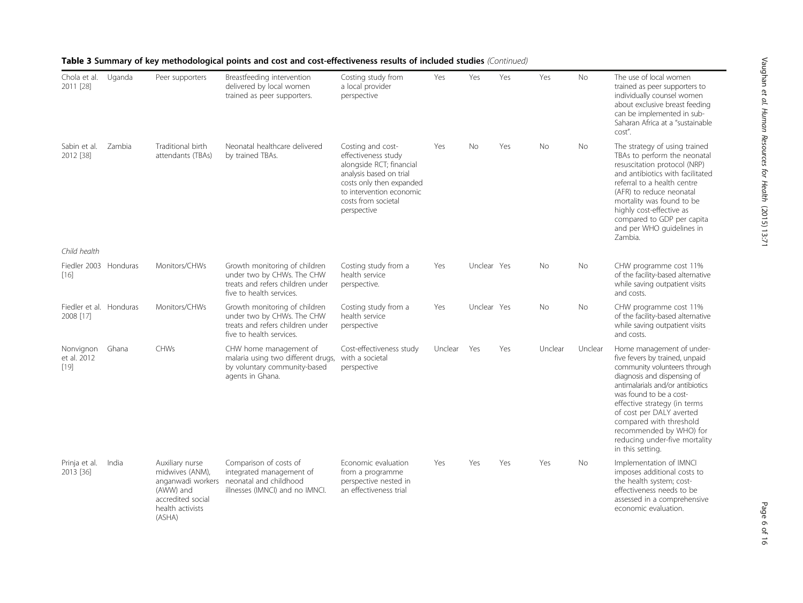| Chola et al.<br>2011 [28]            | Uganda | Peer supporters                                                                                    | Breastfeeding intervention<br>delivered by local women<br>trained as peer supporters.                                             | Costing study from<br>a local provider<br>perspective                                                                                                                                         | Yes     | Yes         | Yes | Yes       | No        | The use of local women<br>trained as peer supporters to<br>individually counsel women<br>about exclusive breast feeding<br>can be implemented in sub-<br>Saharan Africa at a "sustainable<br>cost".                                                                                                                                                              |
|--------------------------------------|--------|----------------------------------------------------------------------------------------------------|-----------------------------------------------------------------------------------------------------------------------------------|-----------------------------------------------------------------------------------------------------------------------------------------------------------------------------------------------|---------|-------------|-----|-----------|-----------|------------------------------------------------------------------------------------------------------------------------------------------------------------------------------------------------------------------------------------------------------------------------------------------------------------------------------------------------------------------|
| Sabin et al.<br>2012 [38]            | Zambia | Traditional birth<br>attendants (TBAs)                                                             | Neonatal healthcare delivered<br>by trained TBAs.                                                                                 | Costing and cost-<br>effectiveness study<br>alongside RCT; financial<br>analysis based on trial<br>costs only then expanded<br>to intervention economic<br>costs from societal<br>perspective | Yes     | <b>No</b>   | Yes | <b>No</b> | <b>No</b> | The strategy of using trained<br>TBAs to perform the neonatal<br>resuscitation protocol (NRP)<br>and antibiotics with facilitated<br>referral to a health centre<br>(AFR) to reduce neonatal<br>mortality was found to be<br>highly cost-effective as<br>compared to GDP per capita<br>and per WHO guidelines in<br>Zambia.                                      |
| Child health                         |        |                                                                                                    |                                                                                                                                   |                                                                                                                                                                                               |         |             |     |           |           |                                                                                                                                                                                                                                                                                                                                                                  |
| Fiedler 2003 Honduras<br>$[16]$      |        | Monitors/CHWs                                                                                      | Growth monitoring of children<br>under two by CHWs. The CHW<br>treats and refers children under<br>five to health services.       | Costing study from a<br>health service<br>perspective.                                                                                                                                        | Yes     | Unclear Yes |     | No        | No        | CHW programme cost 11%<br>of the facility-based alternative<br>while saving outpatient visits<br>and costs.                                                                                                                                                                                                                                                      |
| Fiedler et al. Honduras<br>2008 [17] |        | Monitors/CHWs                                                                                      | Growth monitoring of children<br>under two by CHWs. The CHW<br>treats and refers children under<br>five to health services.       | Costing study from a<br>health service<br>perspective                                                                                                                                         | Yes     | Unclear Yes |     | No        | No        | CHW programme cost 11%<br>of the facility-based alternative<br>while saving outpatient visits<br>and costs.                                                                                                                                                                                                                                                      |
| Nonvignon<br>et al. 2012<br>$[19]$   | Ghana  | <b>CHWs</b>                                                                                        | CHW home management of<br>malaria using two different drugs, with a societal<br>by voluntary community-based<br>agents in Ghana.  | Cost-effectiveness study<br>perspective                                                                                                                                                       | Unclear | Yes         | Yes | Unclear   | Unclear   | Home management of under-<br>five fevers by trained, unpaid<br>community volunteers through<br>diagnosis and dispensing of<br>antimalarials and/or antibiotics<br>was found to be a cost-<br>effective strategy (in terms<br>of cost per DALY averted<br>compared with threshold<br>recommended by WHO) for<br>reducing under-five mortality<br>in this setting. |
| Prinja et al.<br>2013 [36]           | India  | Auxiliary nurse<br>midwives (ANM),<br>(AWW) and<br>accredited social<br>health activists<br>(ASHA) | Comparison of costs of<br>integrated management of<br>anganwadi workers neonatal and childhood<br>illnesses (IMNCI) and no IMNCI. | Economic evaluation<br>from a programme<br>perspective nested in<br>an effectiveness trial                                                                                                    | Yes     | Yes         | Yes | Yes       | <b>No</b> | Implementation of IMNCI<br>imposes additional costs to<br>the health system; cost-<br>effectiveness needs to be<br>assessed in a comprehensive<br>economic evaluation.                                                                                                                                                                                           |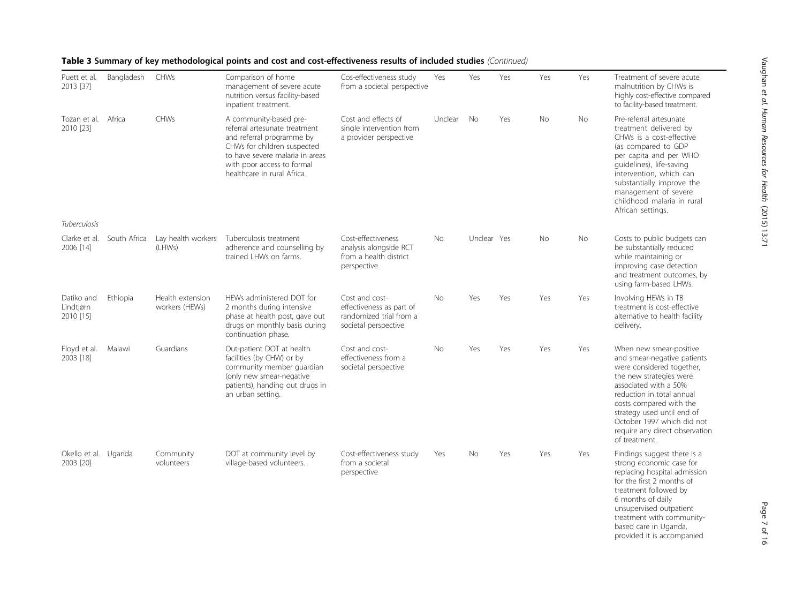| Puett et al.<br>2013 [37]            | Bangladesh   | <b>CHWs</b>                        | Comparison of home<br>management of severe acute<br>nutrition versus facility-based<br>inpatient treatment.                                                                                                         | Cos-effectiveness study<br>from a societal perspective                                        | Yes            | Yes         | Yes | Yes       | Yes | Treatment of severe acute<br>malnutrition by CHWs is<br>highly cost-effective compared<br>to facility-based treatment.                                                                                                                                                                                         |
|--------------------------------------|--------------|------------------------------------|---------------------------------------------------------------------------------------------------------------------------------------------------------------------------------------------------------------------|-----------------------------------------------------------------------------------------------|----------------|-------------|-----|-----------|-----|----------------------------------------------------------------------------------------------------------------------------------------------------------------------------------------------------------------------------------------------------------------------------------------------------------------|
| Tozan et al. Africa<br>2010 [23]     |              | <b>CHWs</b>                        | A community-based pre-<br>referral artesunate treatment<br>and referral programme by<br>CHWs for children suspected<br>to have severe malaria in areas<br>with poor access to formal<br>healthcare in rural Africa. | Cost and effects of<br>single intervention from<br>a provider perspective                     | Unclear        | <b>No</b>   | Yes | <b>No</b> | No. | Pre-referral artesunate<br>treatment delivered by<br>CHWs is a cost-effective<br>(as compared to GDP<br>per capita and per WHO<br>guidelines), life-saving<br>intervention, which can<br>substantially improve the<br>management of severe<br>childhood malaria in rural<br>African settings.                  |
| Tuberculosis                         |              |                                    |                                                                                                                                                                                                                     |                                                                                               |                |             |     |           |     |                                                                                                                                                                                                                                                                                                                |
| Clarke et al.<br>2006 [14]           | South Africa | Lay health workers<br>(LHWs)       | Tuberculosis treatment<br>adherence and counselling by<br>trained LHWs on farms.                                                                                                                                    | Cost-effectiveness<br>analysis alongside RCT<br>from a health district<br>perspective         | N <sub>o</sub> | Unclear Yes |     | No        | No. | Costs to public budgets can<br>be substantially reduced<br>while maintaining or<br>improving case detection<br>and treatment outcomes, by<br>using farm-based LHWs.                                                                                                                                            |
| Datiko and<br>Lindtjørn<br>2010 [15] | Ethiopia     | Health extension<br>workers (HEWs) | HEWs administered DOT for<br>2 months during intensive<br>phase at health post, gave out<br>drugs on monthly basis during<br>continuation phase.                                                                    | Cost and cost-<br>effectiveness as part of<br>randomized trial from a<br>societal perspective | <b>No</b>      | Yes         | Yes | Yes       | Yes | Involving HEWs in TB<br>treatment is cost-effective<br>alternative to health facility<br>delivery.                                                                                                                                                                                                             |
| Floyd et al.<br>2003 [18]            | Malawi       | Guardians                          | Out-patient DOT at health<br>facilities (by CHW) or by<br>community member quardian<br>(only new smear-negative<br>patients), handing out drugs in<br>an urban setting.                                             | Cost and cost-<br>effectiveness from a<br>societal perspective                                | <b>No</b>      | Yes         | Yes | Yes       | Yes | When new smear-positive<br>and smear-negative patients<br>were considered together,<br>the new strategies were<br>associated with a 50%<br>reduction in total annual<br>costs compared with the<br>strategy used until end of<br>October 1997 which did not<br>require any direct observation<br>of treatment. |
| Okello et al. Uganda<br>2003 [20]    |              | Community<br>volunteers            | DOT at community level by<br>village-based volunteers.                                                                                                                                                              | Cost-effectiveness study<br>from a societal<br>perspective                                    | Yes            | <b>No</b>   | Yes | Yes       | Yes | Findings suggest there is a<br>strong economic case for<br>replacing hospital admission<br>for the first 2 months of<br>treatment followed by<br>6 months of daily<br>unsupervised outpatient<br>treatment with community-<br>based care in Uganda,<br>provided it is accompanied                              |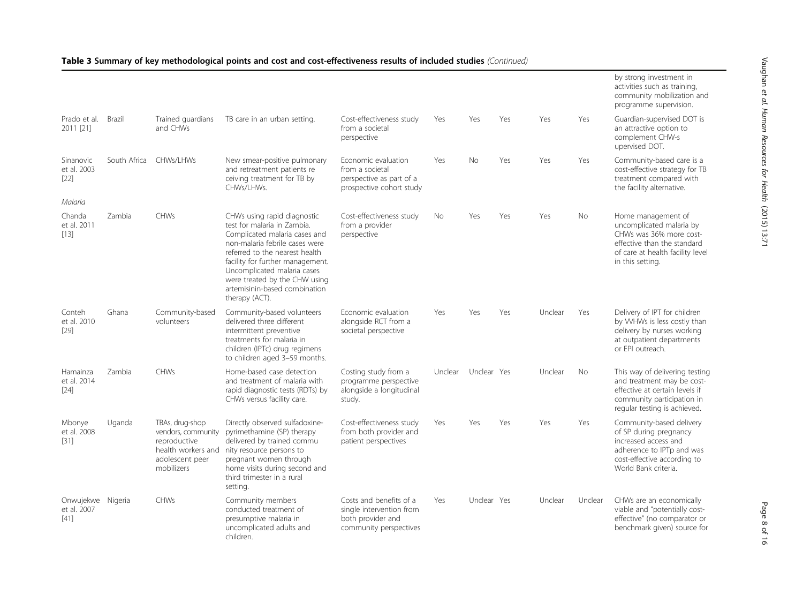|                                    |              |                                                                                                              |                                                                                                                                                                                                                                                                                                                        |                                                                                                    |         |             |     |         |           | by strong investment in<br>activities such as training,<br>community mobilization and<br>programme supervision.                                                  |
|------------------------------------|--------------|--------------------------------------------------------------------------------------------------------------|------------------------------------------------------------------------------------------------------------------------------------------------------------------------------------------------------------------------------------------------------------------------------------------------------------------------|----------------------------------------------------------------------------------------------------|---------|-------------|-----|---------|-----------|------------------------------------------------------------------------------------------------------------------------------------------------------------------|
| Prado et al. Brazil<br>2011 [21]   |              | Trained quardians<br>and CHWs                                                                                | TB care in an urban setting.                                                                                                                                                                                                                                                                                           | Cost-effectiveness study<br>from a societal<br>perspective                                         | Yes     | Yes         | Yes | Yes     | Yes       | Guardian-supervised DOT is<br>an attractive option to<br>complement CHW-s<br>upervised DOT.                                                                      |
| Sinanovic<br>et al. 2003<br>$[22]$ | South Africa | CHWs/LHWs                                                                                                    | New smear-positive pulmonary<br>and retreatment patients re<br>ceiving treatment for TB by<br>CHWs/LHWs.                                                                                                                                                                                                               | Economic evaluation<br>from a societal<br>perspective as part of a<br>prospective cohort study     | Yes     | No          | Yes | Yes     | Yes       | Community-based care is a<br>cost-effective strategy for TB<br>treatment compared with<br>the facility alternative.                                              |
| Malaria                            |              |                                                                                                              |                                                                                                                                                                                                                                                                                                                        |                                                                                                    |         |             |     |         |           |                                                                                                                                                                  |
| Chanda<br>et al. 2011<br>$[13]$    | Zambia       | <b>CHWs</b>                                                                                                  | CHWs using rapid diagnostic<br>test for malaria in Zambia.<br>Complicated malaria cases and<br>non-malaria febrile cases were<br>referred to the nearest health<br>facility for further management.<br>Uncomplicated malaria cases<br>were treated by the CHW using<br>artemisinin-based combination<br>therapy (ACT). | Cost-effectiveness study<br>from a provider<br>perspective                                         | No.     | Yes         | Yes | Yes     | <b>No</b> | Home management of<br>uncomplicated malaria by<br>CHWs was 36% more cost-<br>effective than the standard<br>of care at health facility level<br>in this setting. |
| Conteh<br>et al. 2010<br>$[29]$    | Ghana        | Community-based<br>volunteers                                                                                | Community-based volunteers<br>delivered three different<br>intermittent preventive<br>treatments for malaria in<br>children (IPTc) drug regimens<br>to children aged 3-59 months.                                                                                                                                      | Economic evaluation<br>alongside RCT from a<br>societal perspective                                | Yes     | Yes         | Yes | Unclear | Yes       | Delivery of IPT for children<br>by WHWs is less costly than<br>delivery by nurses working<br>at outpatient departments<br>or EPI outreach.                       |
| Hamainza<br>et al. 2014<br>$[24]$  | Zambia       | <b>CHWs</b>                                                                                                  | Home-based case detection<br>and treatment of malaria with<br>rapid diagnostic tests (RDTs) by<br>CHWs versus facility care.                                                                                                                                                                                           | Costing study from a<br>programme perspective<br>alongside a longitudinal<br>study.                | Unclear | Unclear Yes |     | Unclear | <b>No</b> | This way of delivering testing<br>and treatment may be cost-<br>effective at certain levels if<br>community participation in<br>regular testing is achieved.     |
| Mbonye<br>et al. 2008<br>$[31]$    | Uganda       | TBAs, drug-shop<br>vendors, community<br>reproductive<br>health workers and<br>adolescent peer<br>mobilizers | Directly observed sulfadoxine-<br>pyrimethamine (SP) therapy<br>delivered by trained commu<br>nity resource persons to<br>pregnant women through<br>home visits during second and<br>third trimester in a rural<br>setting.                                                                                            | Cost-effectiveness study<br>from both provider and<br>patient perspectives                         | Yes     | Yes         | Yes | Yes     | Yes       | Community-based delivery<br>of SP during pregnancy<br>increased access and<br>adherence to IPTp and was<br>cost-effective according to<br>World Bank criteria.   |
| Onwujekwe<br>et al. 2007<br>$[41]$ | Nigeria      | <b>CHWs</b>                                                                                                  | Community members<br>conducted treatment of<br>presumptive malaria in<br>uncomplicated adults and<br>children.                                                                                                                                                                                                         | Costs and benefits of a<br>single intervention from<br>both provider and<br>community perspectives | Yes     | Unclear Yes |     | Unclear | Unclear   | CHWs are an economically<br>viable and "potentially cost-<br>effective" (no comparator or<br>benchmark given) source for                                         |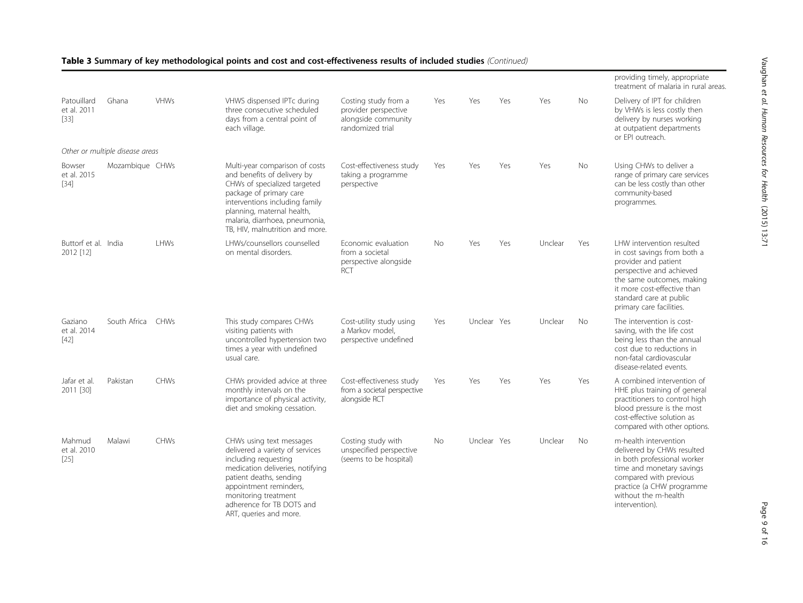| eas. |  |  |
|------|--|--|
|      |  |  |
|      |  |  |
|      |  |  |
|      |  |  |
|      |  |  |
|      |  |  |
|      |  |  |
|      |  |  |
|      |  |  |

Vaughan

et al. Human

Resources

for Health

(2015) 13:71

|                                      |                                 |             |                                                                                                                                                                                                                                                               |                                                                                         |     |             |     |         |           | providing timely, appropriate<br>treatment of malaria in rural areas                                                                                                                                                            |
|--------------------------------------|---------------------------------|-------------|---------------------------------------------------------------------------------------------------------------------------------------------------------------------------------------------------------------------------------------------------------------|-----------------------------------------------------------------------------------------|-----|-------------|-----|---------|-----------|---------------------------------------------------------------------------------------------------------------------------------------------------------------------------------------------------------------------------------|
| Patouillard<br>et al. 2011<br>$[33]$ | Ghana                           | <b>VHWs</b> | VHWS dispensed IPTc during<br>three consecutive scheduled<br>days from a central point of<br>each village.                                                                                                                                                    | Costing study from a<br>provider perspective<br>alongside community<br>randomized trial | Yes | Yes         | Yes | Yes     | No        | Delivery of IPT for children<br>by VHWs is less costly then<br>delivery by nurses working<br>at outpatient departments<br>or EPI outreach.                                                                                      |
|                                      | Other or multiple disease areas |             |                                                                                                                                                                                                                                                               |                                                                                         |     |             |     |         |           |                                                                                                                                                                                                                                 |
| Bowser<br>et al. 2015<br>$[34]$      | Mozambique CHWs                 |             | Multi-year comparison of costs<br>and benefits of delivery by<br>CHWs of specialized targeted<br>package of primary care<br>interventions including family<br>planning, maternal health,<br>malaria, diarrhoea, pneumonia,<br>TB, HIV, malnutrition and more. | Cost-effectiveness study<br>taking a programme<br>perspective                           | Yes | Yes         | Yes | Yes     | No        | Using CHWs to deliver a<br>range of primary care services<br>can be less costly than other<br>community-based<br>programmes.                                                                                                    |
| Buttorf et al. India<br>2012 [12]    |                                 | LHWs        | LHWs/counsellors counselled<br>on mental disorders.                                                                                                                                                                                                           | Economic evaluation<br>from a societal<br>perspective alongside<br>RCT                  | No. | Yes         | Yes | Unclear | Yes       | LHW intervention resulted<br>in cost savings from both a<br>provider and patient<br>perspective and achieved<br>the same outcomes, making<br>it more cost-effective than<br>standard care at public<br>primary care facilities. |
| Gaziano<br>et al. 2014<br>$[42]$     | South Africa                    | CHWs        | This study compares CHWs<br>visiting patients with<br>uncontrolled hypertension two<br>times a year with undefined<br>usual care.                                                                                                                             | Cost-utility study using<br>a Markov model.<br>perspective undefined                    | Yes | Unclear Yes |     | Unclear | <b>No</b> | The intervention is cost-<br>saving, with the life cost<br>being less than the annual<br>cost due to reductions in<br>non-fatal cardiovascular<br>disease-related events.                                                       |
| Jafar et al.<br>2011 [30]            | Pakistan                        | <b>CHWs</b> | CHWs provided advice at three<br>monthly intervals on the<br>importance of physical activity,<br>diet and smoking cessation.                                                                                                                                  | Cost-effectiveness study<br>from a societal perspective<br>alongside RCT                | Yes | Yes         | Yes | Yes     | Yes       | A combined intervention of<br>HHE plus training of general<br>practitioners to control high<br>blood pressure is the most<br>cost-effective solution as<br>compared with other options.                                         |
| Mahmud<br>et al. 2010<br>$[25]$      | Malawi                          | <b>CHWs</b> | CHWs using text messages<br>delivered a variety of services<br>including requesting<br>medication deliveries, notifying<br>patient deaths, sending<br>appointment reminders,<br>monitoring treatment<br>adherence for TB DOTS and<br>ART, queries and more.   | Costing study with<br>unspecified perspective<br>(seems to be hospital)                 | No. | Unclear Yes |     | Unclear | No        | m-health intervention<br>delivered by CHWs resulted<br>in both professional worker<br>time and monetary savings<br>compared with previous<br>practice (a CHW programme<br>without the m-health<br>intervention).                |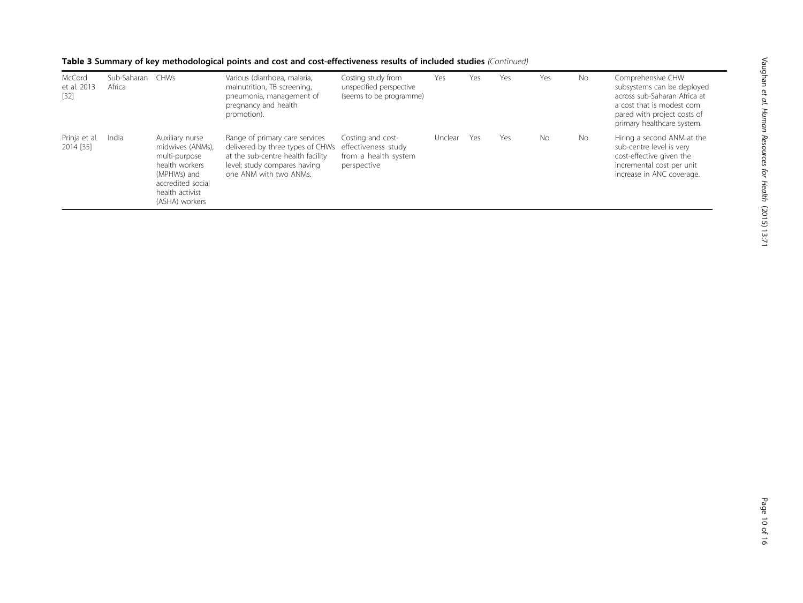| McCord<br>et al. 2013<br>$[32]$ | Sub-Saharan<br>Africa | CHWs                                                                                                                                            | Various (diarrhoea, malaria,<br>malnutrition, TB screening,<br>pneumonia, management of<br>pregnancy and health<br>promotion).                                    | Costing study from<br>unspecified perspective<br>(seems to be programme)        | Yes     | Yes | Yes | Yes       | No. | Comprehensive CHW<br>subsystems can be deployed<br>across sub-Saharan Africa at<br>a cost that is modest com<br>pared with project costs of<br>primary healthcare system. |
|---------------------------------|-----------------------|-------------------------------------------------------------------------------------------------------------------------------------------------|-------------------------------------------------------------------------------------------------------------------------------------------------------------------|---------------------------------------------------------------------------------|---------|-----|-----|-----------|-----|---------------------------------------------------------------------------------------------------------------------------------------------------------------------------|
| Prinja et al.<br>2014 [35]      | India                 | Auxiliary nurse<br>midwives (ANMs),<br>multi-purpose<br>health workers<br>(MPHWs) and<br>accredited social<br>health activist<br>(ASHA) workers | Range of primary care services<br>delivered by three types of CHWs<br>at the sub-centre health facility<br>level; study compares having<br>one ANM with two ANMs. | Costing and cost-<br>effectiveness study<br>from a health system<br>perspective | Unclear | Yes | Yes | <b>No</b> | No. | Hiring a second ANM at the<br>sub-centre level is very<br>cost-effective given the<br>incremental cost per unit<br>increase in ANC coverage.                              |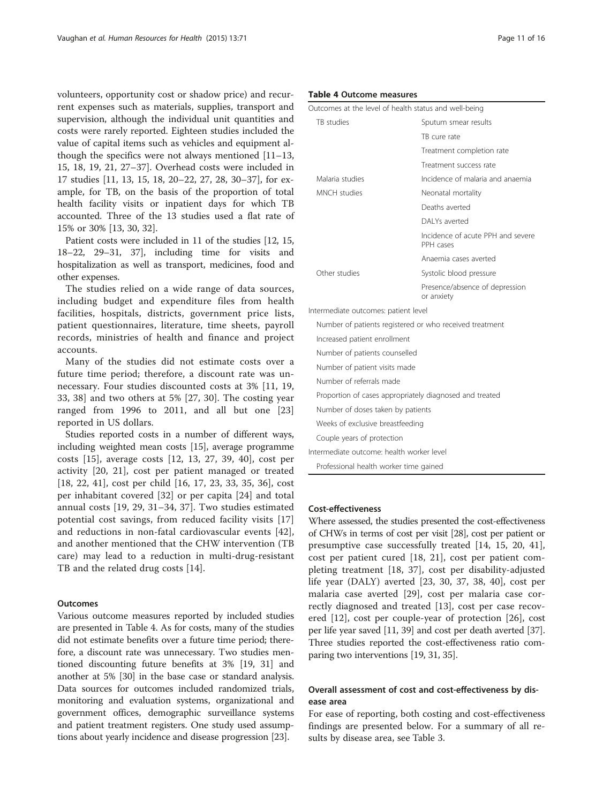volunteers, opportunity cost or shadow price) and recurrent expenses such as materials, supplies, transport and supervision, although the individual unit quantities and costs were rarely reported. Eighteen studies included the value of capital items such as vehicles and equipment although the specifics were not always mentioned [[11](#page-14-0)–[13](#page-14-0), [15, 18](#page-14-0), [19, 21](#page-14-0), [27](#page-14-0)–[37\]](#page-14-0). Overhead costs were included in 17 studies [[11, 13, 15](#page-14-0), [18, 20](#page-14-0)–[22, 27](#page-14-0), [28, 30](#page-14-0)–[37\]](#page-14-0), for example, for TB, on the basis of the proportion of total health facility visits or inpatient days for which TB accounted. Three of the 13 studies used a flat rate of 15% or 30% [[13, 30, 32](#page-14-0)].

Patient costs were included in 11 of the studies [[12](#page-14-0), [15](#page-14-0), [18](#page-14-0)–[22, 29](#page-14-0)–[31, 37\]](#page-14-0), including time for visits and hospitalization as well as transport, medicines, food and other expenses.

The studies relied on a wide range of data sources, including budget and expenditure files from health facilities, hospitals, districts, government price lists, patient questionnaires, literature, time sheets, payroll records, ministries of health and finance and project accounts.

Many of the studies did not estimate costs over a future time period; therefore, a discount rate was unnecessary. Four studies discounted costs at 3% [\[11](#page-14-0), [19](#page-14-0), [33, 38](#page-14-0)] and two others at 5% [[27, 30](#page-14-0)]. The costing year ranged from 1996 to 2011, and all but one [\[23](#page-14-0)] reported in US dollars.

Studies reported costs in a number of different ways, including weighted mean costs [\[15\]](#page-14-0), average programme costs [\[15](#page-14-0)], average costs [\[12](#page-14-0), [13, 27,](#page-14-0) [39](#page-15-0), [40\]](#page-15-0), cost per activity [[20, 21\]](#page-14-0), cost per patient managed or treated [[18, 22,](#page-14-0) [41\]](#page-15-0), cost per child [[16, 17](#page-14-0), [23](#page-14-0), [33](#page-14-0), [35, 36\]](#page-14-0), cost per inhabitant covered [[32\]](#page-14-0) or per capita [\[24](#page-14-0)] and total annual costs [\[19](#page-14-0), [29, 31](#page-14-0)–[34](#page-14-0), [37\]](#page-14-0). Two studies estimated potential cost savings, from reduced facility visits [\[17](#page-14-0)] and reductions in non-fatal cardiovascular events [\[42](#page-15-0)], and another mentioned that the CHW intervention (TB care) may lead to a reduction in multi-drug-resistant TB and the related drug costs [\[14](#page-14-0)].

# **Outcomes**

Various outcome measures reported by included studies are presented in Table 4. As for costs, many of the studies did not estimate benefits over a future time period; therefore, a discount rate was unnecessary. Two studies mentioned discounting future benefits at 3% [\[19, 31\]](#page-14-0) and another at 5% [[30\]](#page-14-0) in the base case or standard analysis. Data sources for outcomes included randomized trials, monitoring and evaluation systems, organizational and government offices, demographic surveillance systems and patient treatment registers. One study used assumptions about yearly incidence and disease progression [\[23\]](#page-14-0).

#### Table 4 Outcome measures

| Taple 4 Outcome measures                                |                                                |  |  |  |  |  |  |  |
|---------------------------------------------------------|------------------------------------------------|--|--|--|--|--|--|--|
| Outcomes at the level of health status and well-being   |                                                |  |  |  |  |  |  |  |
| TB studies                                              | Sputum smear results                           |  |  |  |  |  |  |  |
|                                                         | TB cure rate                                   |  |  |  |  |  |  |  |
|                                                         | Treatment completion rate                      |  |  |  |  |  |  |  |
|                                                         | Treatment success rate                         |  |  |  |  |  |  |  |
| Malaria studies                                         | Incidence of malaria and anaemia               |  |  |  |  |  |  |  |
| MNCH studies                                            | Neonatal mortality                             |  |  |  |  |  |  |  |
|                                                         | Deaths averted                                 |  |  |  |  |  |  |  |
|                                                         | DAI Ys averted                                 |  |  |  |  |  |  |  |
|                                                         | Incidence of acute PPH and severe<br>PPH cases |  |  |  |  |  |  |  |
|                                                         | Anaemia cases averted                          |  |  |  |  |  |  |  |
| Other studies                                           | Systolic blood pressure                        |  |  |  |  |  |  |  |
|                                                         | Presence/absence of depression<br>or anxiety   |  |  |  |  |  |  |  |
| Intermediate outcomes: patient level                    |                                                |  |  |  |  |  |  |  |
| Number of patients registered or who received treatment |                                                |  |  |  |  |  |  |  |
| Increased patient enrollment                            |                                                |  |  |  |  |  |  |  |
| Number of patients counselled                           |                                                |  |  |  |  |  |  |  |
| Number of patient visits made                           |                                                |  |  |  |  |  |  |  |
| Number of referrals made                                |                                                |  |  |  |  |  |  |  |
| Proportion of cases appropriately diagnosed and treated |                                                |  |  |  |  |  |  |  |
| Number of doses taken by patients                       |                                                |  |  |  |  |  |  |  |
| Weeks of exclusive breastfeeding                        |                                                |  |  |  |  |  |  |  |
| Couple years of protection                              |                                                |  |  |  |  |  |  |  |
| Intermediate outcome: health worker level               |                                                |  |  |  |  |  |  |  |
| Professional health worker time gained                  |                                                |  |  |  |  |  |  |  |

#### Cost-effectiveness

Where assessed, the studies presented the cost-effectiveness of CHWs in terms of cost per visit [\[28\]](#page-14-0), cost per patient or presumptive case successfully treated [[14, 15, 20](#page-14-0), [41](#page-15-0)], cost per patient cured [\[18](#page-14-0), [21\]](#page-14-0), cost per patient completing treatment [[18, 37](#page-14-0)], cost per disability-adjusted life year (DALY) averted [[23, 30](#page-14-0), [37, 38,](#page-14-0) [40](#page-15-0)], cost per malaria case averted [[29\]](#page-14-0), cost per malaria case correctly diagnosed and treated [\[13](#page-14-0)], cost per case recovered [[12](#page-14-0)], cost per couple-year of protection [[26\]](#page-14-0), cost per life year saved [\[11,](#page-14-0) [39](#page-15-0)] and cost per death averted [[37](#page-14-0)]. Three studies reported the cost-effectiveness ratio comparing two interventions [[19](#page-14-0), [31, 35](#page-14-0)].

# Overall assessment of cost and cost-effectiveness by disease area

For ease of reporting, both costing and cost-effectiveness findings are presented below. For a summary of all results by disease area, see Table [3](#page-4-0).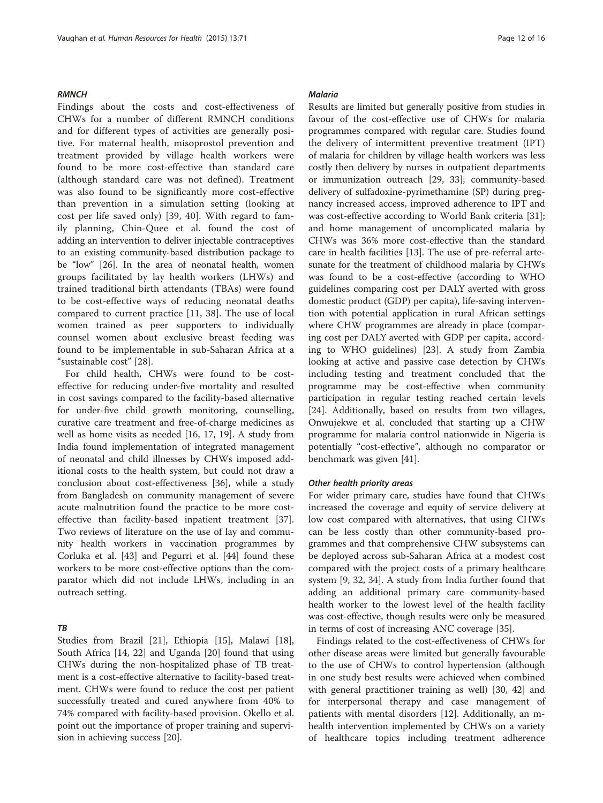#### **RMNCH**

Findings about the costs and cost-effectiveness of CHWs for a number of different RMNCH conditions and for different types of activities are generally positive. For maternal health, misoprostol prevention and treatment provided by village health workers were found to be more cost-effective than standard care (although standard care was not defined). Treatment was also found to be significantly more cost-effective than prevention in a simulation setting (looking at cost per life saved only) [[39, 40](#page-15-0)]. With regard to family planning, Chin-Quee et al. found the cost of adding an intervention to deliver injectable contraceptives to an existing community-based distribution package to be "low" [\[26](#page-14-0)]. In the area of neonatal health, women groups facilitated by lay health workers (LHWs) and trained traditional birth attendants (TBAs) were found to be cost-effective ways of reducing neonatal deaths compared to current practice [\[11](#page-14-0), [38](#page-14-0)]. The use of local women trained as peer supporters to individually counsel women about exclusive breast feeding was found to be implementable in sub-Saharan Africa at a "sustainable cost" [[28\]](#page-14-0).

For child health, CHWs were found to be costeffective for reducing under-five mortality and resulted in cost savings compared to the facility-based alternative for under-five child growth monitoring, counselling, curative care treatment and free-of-charge medicines as well as home visits as needed [[16, 17, 19](#page-14-0)]. A study from India found implementation of integrated management of neonatal and child illnesses by CHWs imposed additional costs to the health system, but could not draw a conclusion about cost-effectiveness [[36](#page-14-0)], while a study from Bangladesh on community management of severe acute malnutrition found the practice to be more costeffective than facility-based inpatient treatment [\[37](#page-14-0)]. Two reviews of literature on the use of lay and community health workers in vaccination programmes by Corluka et al. [[43\]](#page-15-0) and Pegurri et al. [\[44](#page-15-0)] found these workers to be more cost-effective options than the comparator which did not include LHWs, including in an outreach setting.

#### TB

Studies from Brazil [[21\]](#page-14-0), Ethiopia [\[15\]](#page-14-0), Malawi [\[18](#page-14-0)], South Africa [[14, 22](#page-14-0)] and Uganda [[20\]](#page-14-0) found that using CHWs during the non-hospitalized phase of TB treatment is a cost-effective alternative to facility-based treatment. CHWs were found to reduce the cost per patient successfully treated and cured anywhere from 40% to 74% compared with facility-based provision. Okello et al. point out the importance of proper training and supervision in achieving success [[20\]](#page-14-0).

#### **Malaria**

Results are limited but generally positive from studies in favour of the cost-effective use of CHWs for malaria programmes compared with regular care. Studies found the delivery of intermittent preventive treatment (IPT) of malaria for children by village health workers was less costly then delivery by nurses in outpatient departments or immunization outreach [[29, 33](#page-14-0)]; community-based delivery of sulfadoxine-pyrimethamine (SP) during pregnancy increased access, improved adherence to IPT and was cost-effective according to World Bank criteria [\[31](#page-14-0)]; and home management of uncomplicated malaria by CHWs was 36% more cost-effective than the standard care in health facilities [[13\]](#page-14-0). The use of pre-referral artesunate for the treatment of childhood malaria by CHWs was found to be a cost-effective (according to WHO guidelines comparing cost per DALY averted with gross domestic product (GDP) per capita), life-saving intervention with potential application in rural African settings where CHW programmes are already in place (comparing cost per DALY averted with GDP per capita, according to WHO guidelines) [[23\]](#page-14-0). A study from Zambia looking at active and passive case detection by CHWs including testing and treatment concluded that the programme may be cost-effective when community participation in regular testing reached certain levels [[24\]](#page-14-0). Additionally, based on results from two villages, Onwujekwe et al. concluded that starting up a CHW programme for malaria control nationwide in Nigeria is potentially "cost-effective", although no comparator or benchmark was given [\[41](#page-15-0)].

#### Other health priority areas

For wider primary care, studies have found that CHWs increased the coverage and equity of service delivery at low cost compared with alternatives, that using CHWs can be less costly than other community-based programmes and that comprehensive CHW subsystems can be deployed across sub-Saharan Africa at a modest cost compared with the project costs of a primary healthcare system [[9, 32, 34\]](#page-14-0). A study from India further found that adding an additional primary care community-based health worker to the lowest level of the health facility was cost-effective, though results were only be measured in terms of cost of increasing ANC coverage [\[35\]](#page-14-0).

Findings related to the cost-effectiveness of CHWs for other disease areas were limited but generally favourable to the use of CHWs to control hypertension (although in one study best results were achieved when combined with general practitioner training as well) [[30](#page-14-0), [42\]](#page-15-0) and for interpersonal therapy and case management of patients with mental disorders [\[12](#page-14-0)]. Additionally, an mhealth intervention implemented by CHWs on a variety of healthcare topics including treatment adherence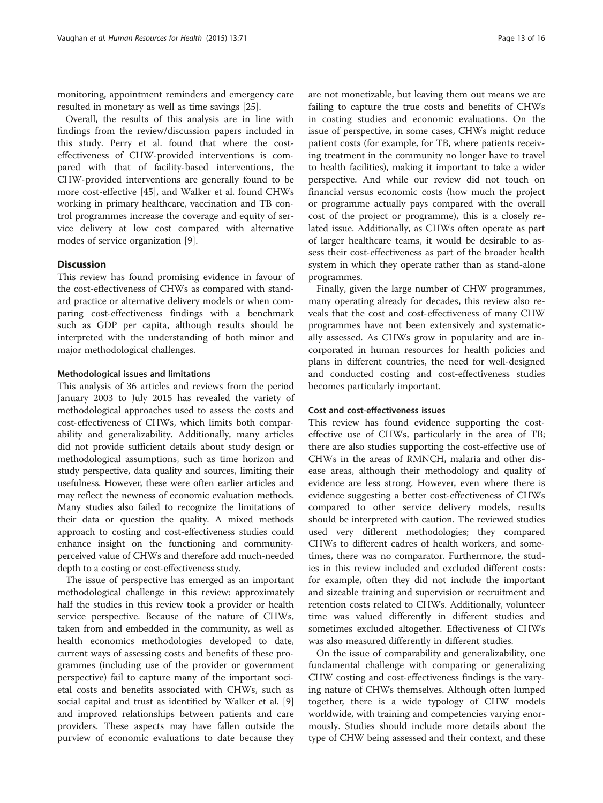monitoring, appointment reminders and emergency care resulted in monetary as well as time savings [[25\]](#page-14-0).

Overall, the results of this analysis are in line with findings from the review/discussion papers included in this study. Perry et al. found that where the costeffectiveness of CHW-provided interventions is compared with that of facility-based interventions, the CHW-provided interventions are generally found to be more cost-effective [[45](#page-15-0)], and Walker et al. found CHWs working in primary healthcare, vaccination and TB control programmes increase the coverage and equity of service delivery at low cost compared with alternative modes of service organization [\[9](#page-14-0)].

#### **Discussion**

This review has found promising evidence in favour of the cost-effectiveness of CHWs as compared with standard practice or alternative delivery models or when comparing cost-effectiveness findings with a benchmark such as GDP per capita, although results should be interpreted with the understanding of both minor and major methodological challenges.

#### Methodological issues and limitations

This analysis of 36 articles and reviews from the period January 2003 to July 2015 has revealed the variety of methodological approaches used to assess the costs and cost-effectiveness of CHWs, which limits both comparability and generalizability. Additionally, many articles did not provide sufficient details about study design or methodological assumptions, such as time horizon and study perspective, data quality and sources, limiting their usefulness. However, these were often earlier articles and may reflect the newness of economic evaluation methods. Many studies also failed to recognize the limitations of their data or question the quality. A mixed methods approach to costing and cost-effectiveness studies could enhance insight on the functioning and communityperceived value of CHWs and therefore add much-needed depth to a costing or cost-effectiveness study.

The issue of perspective has emerged as an important methodological challenge in this review: approximately half the studies in this review took a provider or health service perspective. Because of the nature of CHWs, taken from and embedded in the community, as well as health economics methodologies developed to date, current ways of assessing costs and benefits of these programmes (including use of the provider or government perspective) fail to capture many of the important societal costs and benefits associated with CHWs, such as social capital and trust as identified by Walker et al. [\[9](#page-14-0)] and improved relationships between patients and care providers. These aspects may have fallen outside the purview of economic evaluations to date because they

are not monetizable, but leaving them out means we are failing to capture the true costs and benefits of CHWs in costing studies and economic evaluations. On the issue of perspective, in some cases, CHWs might reduce patient costs (for example, for TB, where patients receiving treatment in the community no longer have to travel to health facilities), making it important to take a wider perspective. And while our review did not touch on financial versus economic costs (how much the project or programme actually pays compared with the overall cost of the project or programme), this is a closely related issue. Additionally, as CHWs often operate as part of larger healthcare teams, it would be desirable to assess their cost-effectiveness as part of the broader health system in which they operate rather than as stand-alone programmes.

Finally, given the large number of CHW programmes, many operating already for decades, this review also reveals that the cost and cost-effectiveness of many CHW programmes have not been extensively and systematically assessed. As CHWs grow in popularity and are incorporated in human resources for health policies and plans in different countries, the need for well-designed and conducted costing and cost-effectiveness studies becomes particularly important.

#### Cost and cost-effectiveness issues

This review has found evidence supporting the costeffective use of CHWs, particularly in the area of TB; there are also studies supporting the cost-effective use of CHWs in the areas of RMNCH, malaria and other disease areas, although their methodology and quality of evidence are less strong. However, even where there is evidence suggesting a better cost-effectiveness of CHWs compared to other service delivery models, results should be interpreted with caution. The reviewed studies used very different methodologies; they compared CHWs to different cadres of health workers, and sometimes, there was no comparator. Furthermore, the studies in this review included and excluded different costs: for example, often they did not include the important and sizeable training and supervision or recruitment and retention costs related to CHWs. Additionally, volunteer time was valued differently in different studies and sometimes excluded altogether. Effectiveness of CHWs was also measured differently in different studies.

On the issue of comparability and generalizability, one fundamental challenge with comparing or generalizing CHW costing and cost-effectiveness findings is the varying nature of CHWs themselves. Although often lumped together, there is a wide typology of CHW models worldwide, with training and competencies varying enormously. Studies should include more details about the type of CHW being assessed and their context, and these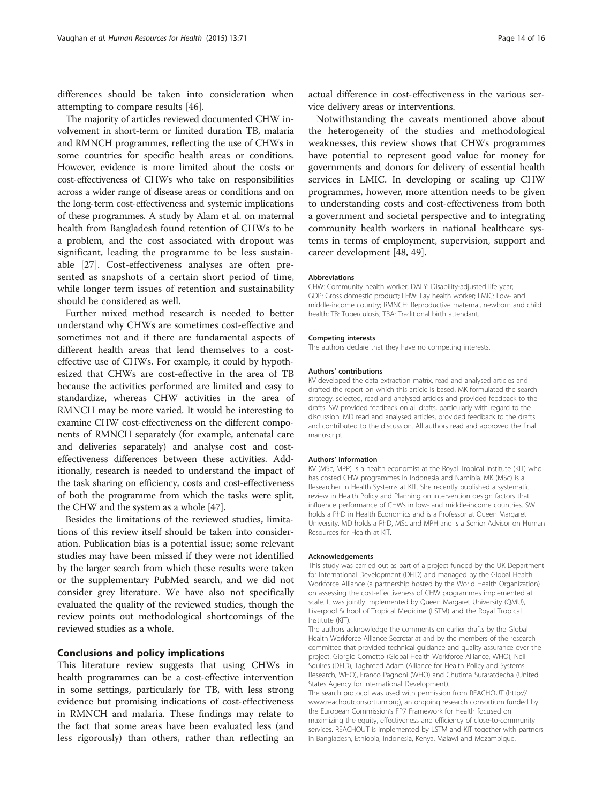differences should be taken into consideration when attempting to compare results [\[46](#page-15-0)].

The majority of articles reviewed documented CHW involvement in short-term or limited duration TB, malaria and RMNCH programmes, reflecting the use of CHWs in some countries for specific health areas or conditions. However, evidence is more limited about the costs or cost-effectiveness of CHWs who take on responsibilities across a wider range of disease areas or conditions and on the long-term cost-effectiveness and systemic implications of these programmes. A study by Alam et al. on maternal health from Bangladesh found retention of CHWs to be a problem, and the cost associated with dropout was significant, leading the programme to be less sustainable [\[27](#page-14-0)]. Cost-effectiveness analyses are often presented as snapshots of a certain short period of time, while longer term issues of retention and sustainability should be considered as well.

Further mixed method research is needed to better understand why CHWs are sometimes cost-effective and sometimes not and if there are fundamental aspects of different health areas that lend themselves to a costeffective use of CHWs. For example, it could by hypothesized that CHWs are cost-effective in the area of TB because the activities performed are limited and easy to standardize, whereas CHW activities in the area of RMNCH may be more varied. It would be interesting to examine CHW cost-effectiveness on the different components of RMNCH separately (for example, antenatal care and deliveries separately) and analyse cost and costeffectiveness differences between these activities. Additionally, research is needed to understand the impact of the task sharing on efficiency, costs and cost-effectiveness of both the programme from which the tasks were split, the CHW and the system as a whole [\[47\]](#page-15-0).

Besides the limitations of the reviewed studies, limitations of this review itself should be taken into consideration. Publication bias is a potential issue; some relevant studies may have been missed if they were not identified by the larger search from which these results were taken or the supplementary PubMed search, and we did not consider grey literature. We have also not specifically evaluated the quality of the reviewed studies, though the review points out methodological shortcomings of the reviewed studies as a whole.

# Conclusions and policy implications

This literature review suggests that using CHWs in health programmes can be a cost-effective intervention in some settings, particularly for TB, with less strong evidence but promising indications of cost-effectiveness in RMNCH and malaria. These findings may relate to the fact that some areas have been evaluated less (and less rigorously) than others, rather than reflecting an

actual difference in cost-effectiveness in the various service delivery areas or interventions.

Notwithstanding the caveats mentioned above about the heterogeneity of the studies and methodological weaknesses, this review shows that CHWs programmes have potential to represent good value for money for governments and donors for delivery of essential health services in LMIC. In developing or scaling up CHW programmes, however, more attention needs to be given to understanding costs and cost-effectiveness from both a government and societal perspective and to integrating community health workers in national healthcare systems in terms of employment, supervision, support and career development [\[48](#page-15-0), [49](#page-15-0)].

#### Abbreviations

CHW: Community health worker; DALY: Disability-adjusted life year; GDP: Gross domestic product; LHW: Lay health worker; LMIC: Low- and middle-income country; RMNCH: Reproductive maternal, newborn and child health; TB: Tuberculosis; TBA: Traditional birth attendant.

#### Competing interests

The authors declare that they have no competing interests.

#### Authors' contributions

KV developed the data extraction matrix, read and analysed articles and drafted the report on which this article is based. MK formulated the search strategy, selected, read and analysed articles and provided feedback to the drafts. SW provided feedback on all drafts, particularly with regard to the discussion. MD read and analysed articles, provided feedback to the drafts and contributed to the discussion. All authors read and approved the final manuscript.

#### Authors' information

KV (MSc, MPP) is a health economist at the Royal Tropical Institute (KIT) who has costed CHW programmes in Indonesia and Namibia. MK (MSc) is a Researcher in Health Systems at KIT. She recently published a systematic review in Health Policy and Planning on intervention design factors that influence performance of CHWs in low- and middle-income countries. SW holds a PhD in Health Economics and is a Professor at Queen Margaret University. MD holds a PhD, MSc and MPH and is a Senior Advisor on Human Resources for Health at KIT.

#### Acknowledgements

This study was carried out as part of a project funded by the UK Department for International Development (DFID) and managed by the Global Health Workforce Alliance (a partnership hosted by the World Health Organization) on assessing the cost-effectiveness of CHW programmes implemented at scale. It was jointly implemented by Queen Margaret University (QMU), Liverpool School of Tropical Medicine (LSTM) and the Royal Tropical Institute (KIT).

The authors acknowledge the comments on earlier drafts by the Global Health Workforce Alliance Secretariat and by the members of the research committee that provided technical guidance and quality assurance over the project: Giorgio Cometto (Global Health Workforce Alliance, WHO), Neil Squires (DFID), Taghreed Adam (Alliance for Health Policy and Systems Research, WHO), Franco Pagnoni (WHO) and Chutima Suraratdecha (United States Agency for International Development).

The search protocol was used with permission from REACHOUT ([http://](http://www.reachoutconsortium.org/) [www.reachoutconsortium.org](http://www.reachoutconsortium.org/)), an ongoing research consortium funded by the European Commission's FP7 Framework for Health focused on maximizing the equity, effectiveness and efficiency of close-to-community services. REACHOUT is implemented by LSTM and KIT together with partners in Bangladesh, Ethiopia, Indonesia, Kenya, Malawi and Mozambique.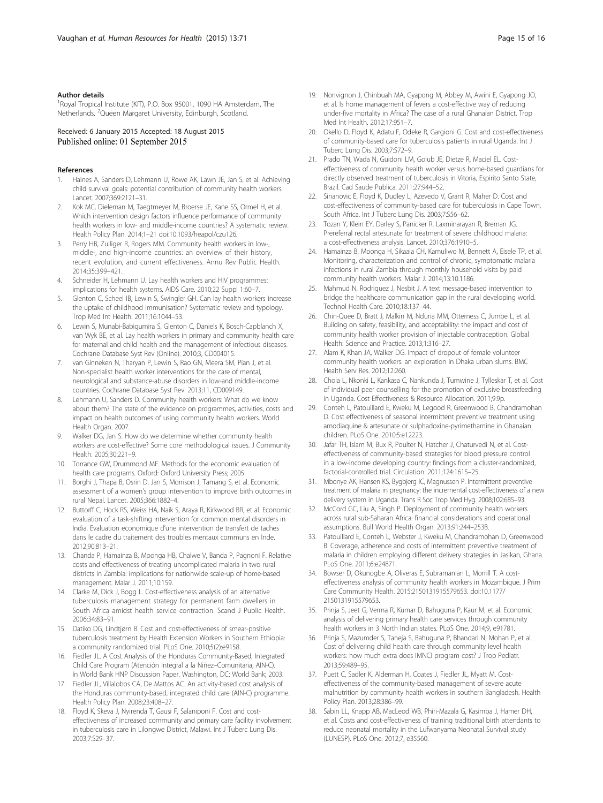#### <span id="page-14-0"></span>Author details

<sup>1</sup>Royal Tropical Institute (KIT), P.O. Box 95001, 1090 HA Amsterdam, The Netherlands. <sup>2</sup>Queen Margaret University, Edinburgh, Scotland.

Received: 6 January 2015 Accepted: 18 August 2015 Published online: 01 September 2015

#### References

- 1. Haines A, Sanders D, Lehmann U, Rowe AK, Lawn JE, Jan S, et al. Achieving child survival goals: potential contribution of community health workers. Lancet. 2007;369:2121–31.
- 2. Kok MC, Dieleman M, Taegtmeyer M, Broerse JE, Kane SS, Ormel H, et al. Which intervention design factors influence performance of community health workers in low- and middle-income countries? A systematic review. Health Policy Plan. 2014;1–21 doi[:10.1093/heapol/czu126](http://dx.doi.org/10.1093/heapol/czu126).
- 3. Perry HB, Zulliger R, Rogers MM. Community health workers in low-, middle-, and high-income countries: an overview of their history, recent evolution, and current effectiveness. Annu Rev Public Health. 2014;35:399–421.
- 4. Schneider H, Lehmann U. Lay health workers and HIV programmes: implications for health systems. AIDS Care. 2010;22 Suppl 1:60–7.
- 5. Glenton C, Scheel IB, Lewin S, Swingler GH. Can lay health workers increase the uptake of childhood immunisation? Systematic review and typology. Trop Med Int Health. 2011;16:1044–53.
- 6. Lewin S, Munabi-Babigumira S, Glenton C, Daniels K, Bosch-Capblanch X, van Wyk BE, et al. Lay health workers in primary and community health care for maternal and child health and the management of infectious diseases. Cochrane Database Syst Rev (Online). 2010;3, CD004015.
- 7. van Ginneken N, Tharyan P, Lewin S, Rao GN, Meera SM, Pian J, et al. Non-specialist health worker interventions for the care of mental, neurological and substance-abuse disorders in low-and middle-income countries. Cochrane Database Syst Rev. 2013;11, CD009149.
- 8. Lehmann U, Sanders D. Community health workers: What do we know about them? The state of the evidence on programmes, activities, costs and impact on health outcomes of using community health workers. World Health Organ. 2007.
- Walker DG, Jan S. How do we determine whether community health workers are cost-effective? Some core methodological issues. J Community Health. 2005;30:221–9.
- 10. Torrance GW, Drummond MF. Methods for the economic evaluation of health care programs. Oxford: Oxford University Press; 2005.
- 11. Borghi J, Thapa B, Osrin D, Jan S, Morrison J, Tamang S, et al. Economic assessment of a women's group intervention to improve birth outcomes in rural Nepal. Lancet. 2005;366:1882–4.
- 12. Buttorff C, Hock RS, Weiss HA, Naik S, Araya R, Kirkwood BR, et al. Economic evaluation of a task-shifting intervention for common mental disorders in India. Evaluation economique d'une intervention de transfert de taches dans le cadre du traitement des troubles mentaux communs en Inde. 2012;90:813–21.
- 13. Chanda P, Hamainza B, Moonga HB, Chalwe V, Banda P, Pagnoni F. Relative costs and effectiveness of treating uncomplicated malaria in two rural districts in Zambia: implications for nationwide scale-up of home-based management. Malar J. 2011;10:159.
- 14. Clarke M, Dick J, Bogg L. Cost-effectiveness analysis of an alternative tuberculosis management strategy for permanent farm dwellers in South Africa amidst health service contraction. Scand J Public Health. 2006;34:83–91.
- 15. Datiko DG, Lindtjørn B. Cost and cost-effectiveness of smear-positive tuberculosis treatment by Health Extension Workers in Southern Ethiopia: a community randomized trial. PLoS One. 2010;5(2):e9158.
- 16. Fiedler JL. A Cost Analysis of the Honduras Community-Based, Integrated Child Care Program (Atención Integral a la Niñez–Comunitaria, AIN-C). In World Bank HNP Discussion Paper. Washington, DC: World Bank; 2003.
- 17. Fiedler JL, Villalobos CA, De Mattos AC. An activity-based cost analysis of the Honduras community-based, integrated child care (AIN-C) programme. Health Policy Plan. 2008;23:408–27.
- 18. Floyd K, Skeva J, Nyirenda T, Gausi F, Salaniponi F. Cost and costeffectiveness of increased community and primary care facility involvement in tuberculosis care in Lilongwe District, Malawi. Int J Tuberc Lung Dis. 2003;7:S29–37.
- 19. Nonvignon J, Chinbuah MA, Gyapong M, Abbey M, Awini E, Gyapong JO, et al. Is home management of fevers a cost-effective way of reducing under-five mortality in Africa? The case of a rural Ghanaian District. Trop Med Int Health. 2012;17:951–7.
- 20. Okello D, Floyd K, Adatu F, Odeke R, Gargioni G. Cost and cost-effectiveness of community-based care for tuberculosis patients in rural Uganda. Int J Tuberc Lung Dis. 2003;7:S72–9.
- 21. Prado TN, Wada N, Guidoni LM, Golub JE, Dietze R, Maciel EL. Costeffectiveness of community health worker versus home-based guardians for directly observed treatment of tuberculosis in Vitoria, Espirito Santo State, Brazil. Cad Saude Publica. 2011;27:944–52.
- 22. Sinanovic E, Floyd K, Dudley L, Azevedo V, Grant R, Maher D, Cost and cost-effectiveness of community-based care for tuberculosis in Cape Town, South Africa. Int J Tuberc Lung Dis. 2003;7:S56–62.
- 23. Tozan Y, Klein EY, Darley S, Panicker R, Laxminarayan R, Breman JG. Prereferral rectal artesunate for treatment of severe childhood malaria: a cost-effectiveness analysis. Lancet. 2010;376:1910–5.
- 24. Hamainza B, Moonga H, Sikaala CH, Kamuliwo M, Bennett A, Eisele TP, et al. Monitoring, characterization and control of chronic, symptomatic malaria infections in rural Zambia through monthly household visits by paid community health workers. Malar J. 2014;13:10.1186.
- 25. Mahmud N, Rodriguez J, Nesbit J. A text message-based intervention to bridge the healthcare communication gap in the rural developing world. Technol Health Care. 2010;18:137–44.
- 26. Chin-Quee D, Bratt J, Malkin M, Nduna MM, Otterness C, Jumbe L, et al. Building on safety, feasibility, and acceptability: the impact and cost of community health worker provision of injectable contraception. Global Health: Science and Practice. 2013;1:316–27.
- 27. Alam K, Khan JA, Walker DG. Impact of dropout of female volunteer community health workers: an exploration in Dhaka urban slums. BMC Health Serv Res. 2012;12:260.
- 28. Chola L, Nkonki L, Kankasa C, Nankunda J, Tumwine J, Tylleskar T, et al. Cost of individual peer counselling for the promotion of exclusive breastfeeding in Uganda. Cost Effectiveness & Resource Allocation. 2011;9:9p.
- 29. Conteh L, Patouillard E, Kweku M, Legood R, Greenwood B, Chandramohan D. Cost effectiveness of seasonal intermittent preventive treatment using amodiaquine & artesunate or sulphadoxine-pyrimethamine in Ghanaian children. PLoS One. 2010;5:e12223.
- 30. Jafar TH, Islam M, Bux R, Poulter N, Hatcher J, Chaturvedi N, et al. Costeffectiveness of community-based strategies for blood pressure control in a low-income developing country: findings from a cluster-randomized, factorial-controlled trial. Circulation. 2011;124:1615–25.
- 31. Mbonye AK, Hansen KS, Bygbjerg IC, Magnussen P. Intermittent preventive treatment of malaria in pregnancy: the incremental cost-effectiveness of a new delivery system in Uganda. Trans R Soc Trop Med Hyg. 2008;102:685–93.
- 32. McCord GC, Liu A, Singh P. Deployment of community health workers across rural sub-Saharan Africa: financial considerations and operational assumptions. Bull World Health Organ. 2013;91:244–253B.
- 33. Patouillard E, Conteh L, Webster J, Kweku M, Chandramohan D, Greenwood B. Coverage, adherence and costs of intermittent preventive treatment of malaria in children employing different delivery strategies in Jasikan, Ghana. PLoS One. 2011;6:e24871.
- 34. Bowser D, Okunogbe A, Oliveras E, Subramanian L, Morrill T. A costeffectiveness analysis of community health workers in Mozambique. J Prim Care Community Health. 2015;2150131915579653. doi[:10.1177/](http://dx.doi.org/10.1177/2150131915579653) [2150131915579653](http://dx.doi.org/10.1177/2150131915579653).
- 35. Prinja S, Jeet G, Verma R, Kumar D, Bahuguna P, Kaur M, et al. Economic analysis of delivering primary health care services through community health workers in 3 North Indian states. PLoS One. 2014;9, e91781.
- 36. Prinja S, Mazumder S, Taneja S, Bahuguna P, Bhandari N, Mohan P, et al. Cost of delivering child health care through community level health workers: how much extra does IMNCI program cost? J Trop Pediatr. 2013;59:489–95.
- 37. Puett C, Sadler K, Alderman H, Coates J, Fiedler JL, Myatt M. Costeffectiveness of the community-based management of severe acute malnutrition by community health workers in southern Bangladesh. Health Policy Plan. 2013;28:386–99.
- 38. Sabin LL, Knapp AB, MacLeod WB, Phiri-Mazala G, Kasimba J, Hamer DH, et al. Costs and cost-effectiveness of training traditional birth attendants to reduce neonatal mortality in the Lufwanyama Neonatal Survival study (LUNESP). PLoS One. 2012;7, e35560.